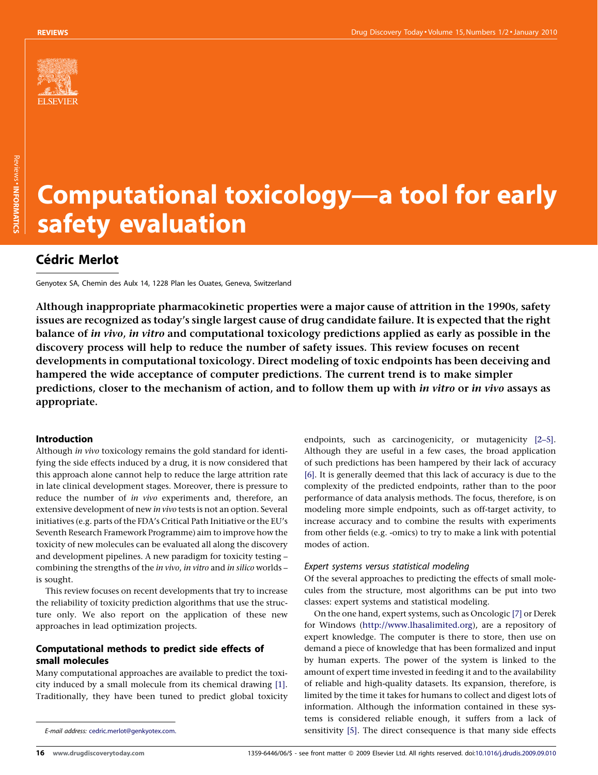

# Computational toxicology—a tool for early safety evaluation

## **Cédric Merlot**

Genyotex SA, Chemin des Aulx 14, 1228 Plan les Ouates, Geneva, Switzerland

Although inappropriate pharmacokinetic properties were a major cause of attrition in the 1990s, safety issues are recognized as today's single largest cause of drug candidate failure. It is expected that the right balance of in vivo, in vitro and computational toxicology predictions applied as early as possible in the discovery process will help to reduce the number of safety issues. This review focuses on recent developments in computational toxicology. Direct modeling of toxic endpoints has been deceiving and hampered the wide acceptance of computer predictions. The current trend is to make simpler predictions, closer to the mechanism of action, and to follow them up with in vitro or in vivo assays as appropriate.

## Introduction

Although in vivo toxicology remains the gold standard for identifying the side effects induced by a drug, it is now considered that this approach alone cannot help to reduce the large attrition rate in late clinical development stages. Moreover, there is pressure to reduce the number of in vivo experiments and, therefore, an extensive development of new in vivo tests is not an option. Several initiatives (e.g. parts of the FDA's Critical Path Initiative or the EU's Seventh Research Framework Programme) aim to improve how the toxicity of new molecules can be evaluated all along the discovery and development pipelines. A new paradigm for toxicity testing – combining the strengths of the in vivo, in vitro and in silico worlds – is sought.

This review focuses on recent developments that try to increase the reliability of toxicity prediction algorithms that use the structure only. We also report on the application of these new approaches in lead optimization projects.

## Computational methods to predict side effects of small molecules

Many computational approaches are available to predict the toxicity induced by a small molecule from its chemical drawing [\[1\]](#page-5-0). Traditionally, they have been tuned to predict global toxicity endpoints, such as carcinogenicity, or mutagenicity [\[2–5\]](#page-5-0). Although they are useful in a few cases, the broad application of such predictions has been hampered by their lack of accuracy [\[6\]](#page-5-0). It is generally deemed that this lack of accuracy is due to the complexity of the predicted endpoints, rather than to the poor performance of data analysis methods. The focus, therefore, is on modeling more simple endpoints, such as off-target activity, to increase accuracy and to combine the results with experiments from other fields (e.g. -omics) to try to make a link with potential modes of action.

### Expert systems versus statistical modeling

Of the several approaches to predicting the effects of small molecules from the structure, most algorithms can be put into two classes: expert systems and statistical modeling.

On the one hand, expert systems, such as Oncologic [\[7\]](#page-5-0) or Derek for Windows [\(http://www.lhasalimited.org](mailto:cedric.merlot@genkyotex.com)), are a repository of expert knowledge. The computer is there to store, then use on demand a piece of knowledge that has been formalized and input by human experts. The power of the system is linked to the amount of expert time invested in feeding it and to the availability of reliable and high-quality datasets. Its expansion, therefore, is limited by the time it takes for humans to collect and digest lots of information. Although the information contained in these systems is considered reliable enough, it suffers from a lack of sensitivity [\[5\]](#page-5-0). The direct consequence is that many side effects

E-mail address: [cedric.merlot@genkyotex.com.](mailto:cedric.merlot@genkyotex.com)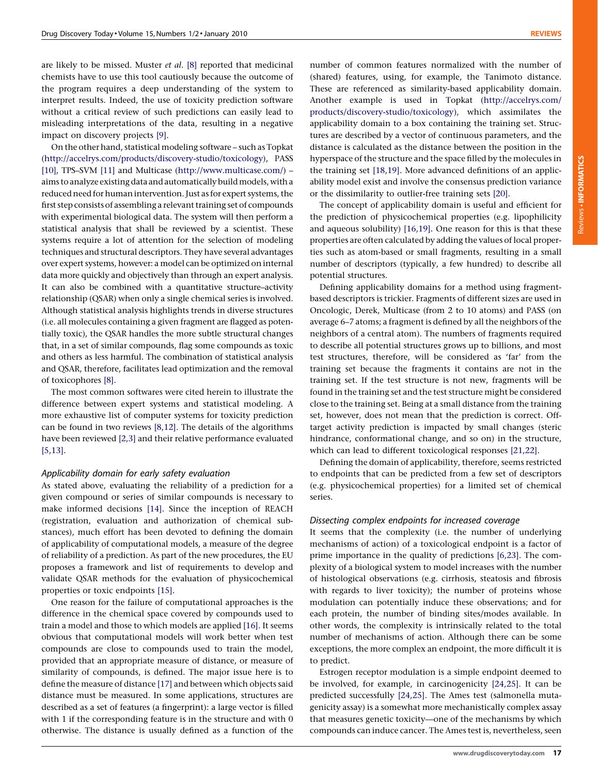are likely to be missed. Muster  $et$  al. [\[8\]](#page-5-0) reported that medicinal chemists have to use this tool cautiously because the outcome of the program requires a deep understanding of the system to interpret results. Indeed, the use of toxicity prediction software without a critical review of such predictions can easily lead to misleading interpretations of the data, resulting in a negative impact on discovery projects [\[9\].](#page-5-0)

On the other hand, statistical modeling software – such as Topkat [\(http://accelrys.com/products/discovery-studio/toxicology](http://accelrys.com/products/discovery-studio/toxicology)), PASS [\[10\],](#page-5-0) TPS–SVM [\[11\]](#page-5-0) and Multicase [\(http://www.multicase.com/](http://www.multicase.com/)) – aims to analyze existing data andautomatically build models, with a reduced need for human intervention. Just as for expert systems, the first step consistsof assembling a relevant training set of compounds with experimental biological data. The system will then perform a statistical analysis that shall be reviewed by a scientist. These systems require a lot of attention for the selection of modeling techniques and structural descriptors. They have several advantages over expert systems, however: a model can be optimized on internal data more quickly and objectively than through an expert analysis. It can also be combined with a quantitative structure–activity relationship (QSAR) when only a single chemical series is involved. Although statistical analysis highlights trends in diverse structures (i.e. all molecules containing a given fragment are flagged as potentially toxic), the QSAR handles the more subtle structural changes that, in a set of similar compounds, flag some compounds as toxic and others as less harmful. The combination of statistical analysis and QSAR, therefore, facilitates lead optimization and the removal of toxicophores [\[8\].](#page-5-0)

The most common softwares were cited herein to illustrate the difference between expert systems and statistical modeling. A more exhaustive list of computer systems for toxicity prediction can be found in two reviews [\[8,12\].](#page-5-0) The details of the algorithms have been reviewed [\[2,3\]](#page-5-0) and their relative performance evaluated [\[5,13\]](#page-5-0).

#### Applicability domain for early safety evaluation

As stated above, evaluating the reliability of a prediction for a given compound or series of similar compounds is necessary to make informed decisions [\[14\].](#page-6-0) Since the inception of REACH (registration, evaluation and authorization of chemical substances), much effort has been devoted to defining the domain of applicability of computational models, a measure of the degree of reliability of a prediction. As part of the new procedures, the EU proposes a framework and list of requirements to develop and validate QSAR methods for the evaluation of physicochemical properties or toxic endpoints [\[15\].](#page-6-0)

One reason for the failure of computational approaches is the difference in the chemical space covered by compounds used to train a model and those to which models are applied [\[16\].](#page-6-0) It seems obvious that computational models will work better when test compounds are close to compounds used to train the model, provided that an appropriate measure of distance, or measure of similarity of compounds, is defined. The major issue here is to define the measure of distance [\[17\]](#page-6-0) and between which objects said distance must be measured. In some applications, structures are described as a set of features (a fingerprint): a large vector is filled with 1 if the corresponding feature is in the structure and with 0 otherwise. The distance is usually defined as a function of the number of common features normalized with the number of (shared) features, using, for example, the Tanimoto distance. These are referenced as similarity-based applicability domain. Another example is used in Topkat ([http://accelrys.com/](http://accelrys.com/products/discovery-studio/toxicology) [products/discovery-studio/toxicology\)](http://accelrys.com/products/discovery-studio/toxicology), which assimilates the applicability domain to a box containing the training set. Structures are described by a vector of continuous parameters, and the distance is calculated as the distance between the position in the hyperspace of the structure and the space filled by the molecules in the training set [\[18,19\].](#page-6-0) More advanced definitions of an applicability model exist and involve the consensus prediction variance or the dissimilarity to outlier-free training sets [\[20\]](#page-6-0).

The concept of applicability domain is useful and efficient for the prediction of physicochemical properties (e.g. lipophilicity and aqueous solubility) [\[16,19\]](#page-6-0). One reason for this is that these properties are often calculated by adding the values of local properties such as atom-based or small fragments, resulting in a small number of descriptors (typically, a few hundred) to describe all potential structures.

Defining applicability domains for a method using fragmentbased descriptors is trickier. Fragments of different sizes are used in Oncologic, Derek, Multicase (from 2 to 10 atoms) and PASS (on average 6–7 atoms; a fragment is defined by all the neighbors of the neighbors of a central atom). The numbers of fragments required to describe all potential structures grows up to billions, and most test structures, therefore, will be considered as 'far' from the training set because the fragments it contains are not in the training set. If the test structure is not new, fragments will be found in the training set and the test structure might be considered close to the training set. Being at a small distance from the training set, however, does not mean that the prediction is correct. Offtarget activity prediction is impacted by small changes (steric hindrance, conformational change, and so on) in the structure, which can lead to different toxicological responses [\[21,22\].](#page-6-0)

Defining the domain of applicability, therefore, seems restricted to endpoints that can be predicted from a few set of descriptors (e.g. physicochemical properties) for a limited set of chemical series.

#### Dissecting complex endpoints for increased coverage

It seems that the complexity (i.e. the number of underlying mechanisms of action) of a toxicological endpoint is a factor of prime importance in the quality of predictions [\[6,23\].](#page-5-0) The complexity of a biological system to model increases with the number of histological observations (e.g. cirrhosis, steatosis and fibrosis with regards to liver toxicity); the number of proteins whose modulation can potentially induce these observations; and for each protein, the number of binding sites/modes available. In other words, the complexity is intrinsically related to the total number of mechanisms of action. Although there can be some exceptions, the more complex an endpoint, the more difficult it is to predict.

Estrogen receptor modulation is a simple endpoint deemed to be involved, for example, in carcinogenicity [\[24,25\]](#page-6-0). It can be predicted successfully [\[24,25\]](#page-6-0). The Ames test (salmonella mutagenicity assay) is a somewhat more mechanistically complex assay that measures genetic toxicity—one of the mechanisms by which compounds can induce cancer. The Ames test is, nevertheless, seen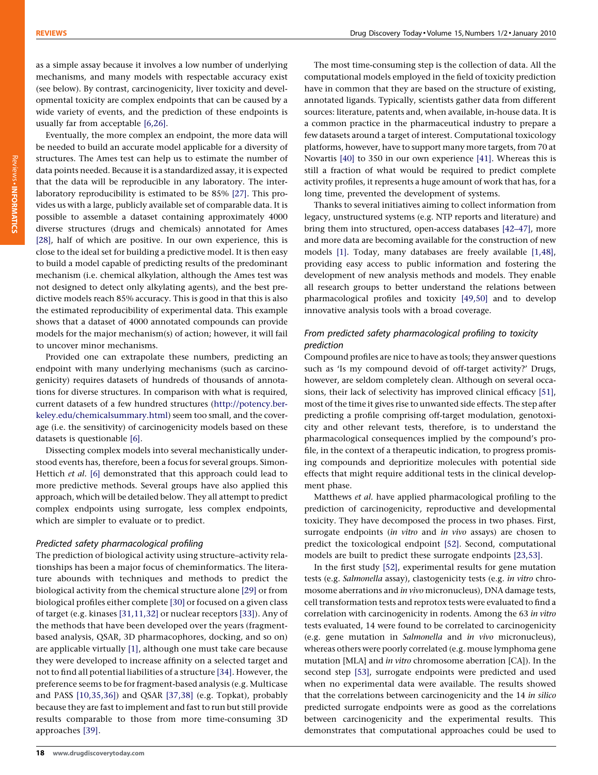as a simple assay because it involves a low number of underlying mechanisms, and many models with respectable accuracy exist (see below). By contrast, carcinogenicity, liver toxicity and developmental toxicity are complex endpoints that can be caused by a wide variety of events, and the prediction of these endpoints is usually far from acceptable [\[6,26\].](#page-5-0)

Eventually, the more complex an endpoint, the more data will be needed to build an accurate model applicable for a diversity of structures. The Ames test can help us to estimate the number of data points needed. Because it is a standardized assay, it is expected that the data will be reproducible in any laboratory. The interlaboratory reproducibility is estimated to be 85% [\[27\].](#page-6-0) This provides us with a large, publicly available set of comparable data. It is possible to assemble a dataset containing approximately 4000 diverse structures (drugs and chemicals) annotated for Ames [\[28\]](#page-6-0), half of which are positive. In our own experience, this is close to the ideal set for building a predictive model. It is then easy to build a model capable of predicting results of the predominant mechanism (i.e. chemical alkylation, although the Ames test was not designed to detect only alkylating agents), and the best predictive models reach 85% accuracy. This is good in that this is also the estimated reproducibility of experimental data. This example shows that a dataset of 4000 annotated compounds can provide models for the major mechanism(s) of action; however, it will fail to uncover minor mechanisms.

Provided one can extrapolate these numbers, predicting an endpoint with many underlying mechanisms (such as carcinogenicity) requires datasets of hundreds of thousands of annotations for diverse structures. In comparison with what is required, current datasets of a few hundred structures [\(http://potency.ber](http://potency.berkeley.edu/chemicalsummary.html)[keley.edu/chemicalsummary.html](http://potency.berkeley.edu/chemicalsummary.html)) seem too small, and the coverage (i.e. the sensitivity) of carcinogenicity models based on these datasets is questionable [\[6\].](#page-5-0)

Dissecting complex models into several mechanistically understood events has, therefore, been a focus for several groups. Simon-Hettich et al. [\[6\]](#page-5-0) demonstrated that this approach could lead to more predictive methods. Several groups have also applied this approach, which will be detailed below. They all attempt to predict complex endpoints using surrogate, less complex endpoints, which are simpler to evaluate or to predict.

### Predicted safety pharmacological profiling

The prediction of biological activity using structure–activity relationships has been a major focus of cheminformatics. The literature abounds with techniques and methods to predict the biological activity from the chemical structure alone [\[29\]](#page-6-0) or from biological profiles either complete [\[30\]](#page-6-0) or focused on a given class of target (e.g. kinases [\[31,11,32\]](#page-6-0) or nuclear receptors [\[33\]](#page-6-0)). Any of the methods that have been developed over the years (fragmentbased analysis, QSAR, 3D pharmacophores, docking, and so on) are applicable virtually [\[1\],](#page-5-0) although one must take care because they were developed to increase affinity on a selected target and not to find all potential liabilities of a structure [\[34\].](#page-6-0) However, the preference seems to be for fragment-based analysis (e.g. Multicase and PASS [\[10,35,36\]](#page-5-0)) and QSAR [\[37,38\]](#page-6-0) (e.g. Topkat), probably because they are fast to implement and fast to run but still provide results comparable to those from more time-consuming 3D approaches [\[39\].](#page-6-0)

The most time-consuming step is the collection of data. All the computational models employed in the field of toxicity prediction have in common that they are based on the structure of existing, annotated ligands. Typically, scientists gather data from different sources: literature, patents and, when available, in-house data. It is a common practice in the pharmaceutical industry to prepare a few datasets around a target of interest. Computational toxicology platforms, however, have to support many more targets, from 70 at Novartis [\[40\]](#page-6-0) to 350 in our own experience [\[41\].](#page-6-0) Whereas this is still a fraction of what would be required to predict complete activity profiles, it represents a huge amount of work that has, for a long time, prevented the development of systems.

Thanks to several initiatives aiming to collect information from legacy, unstructured systems (e.g. NTP reports and literature) and bring them into structured, open-access databases [\[42–47\],](#page-6-0) more and more data are becoming available for the construction of new models [\[1\]](#page-5-0). Today, many databases are freely available [\[1,48\]](#page-5-0), providing easy access to public information and fostering the development of new analysis methods and models. They enable all research groups to better understand the relations between pharmacological profiles and toxicity [\[49,50\]](#page-6-0) and to develop innovative analysis tools with a broad coverage.

## From predicted safety pharmacological profiling to toxicity prediction

Compound profiles are nice to have as tools; they answer questions such as 'Is my compound devoid of off-target activity?' Drugs, however, are seldom completely clean. Although on several occasions, their lack of selectivity has improved clinical efficacy [\[51\]](#page-6-0), most of the time it gives rise to unwanted side effects. The step after predicting a profile comprising off-target modulation, genotoxicity and other relevant tests, therefore, is to understand the pharmacological consequences implied by the compound's profile, in the context of a therapeutic indication, to progress promising compounds and deprioritize molecules with potential side effects that might require additional tests in the clinical development phase.

Matthews et al. have applied pharmacological profiling to the prediction of carcinogenicity, reproductive and developmental toxicity. They have decomposed the process in two phases. First, surrogate endpoints (in vitro and in vivo assays) are chosen to predict the toxicological endpoint [\[52\]](#page-6-0). Second, computational models are built to predict these surrogate endpoints [\[23,53\].](#page-6-0)

In the first study [\[52\],](#page-6-0) experimental results for gene mutation tests (e.g. Salmonella assay), clastogenicity tests (e.g. in vitro chromosome aberrations and in vivo micronucleus), DNA damage tests, cell transformation tests and reprotox tests were evaluated to find a correlation with carcinogenicity in rodents. Among the 63 in vitro tests evaluated, 14 were found to be correlated to carcinogenicity (e.g. gene mutation in Salmonella and in vivo micronucleus), whereas others were poorly correlated (e.g. mouse lymphoma gene mutation [MLA] and in vitro chromosome aberration [CA]). In the second step [\[53\],](#page-6-0) surrogate endpoints were predicted and used when no experimental data were available. The results showed that the correlations between carcinogenicity and the 14 in silico predicted surrogate endpoints were as good as the correlations between carcinogenicity and the experimental results. This demonstrates that computational approaches could be used to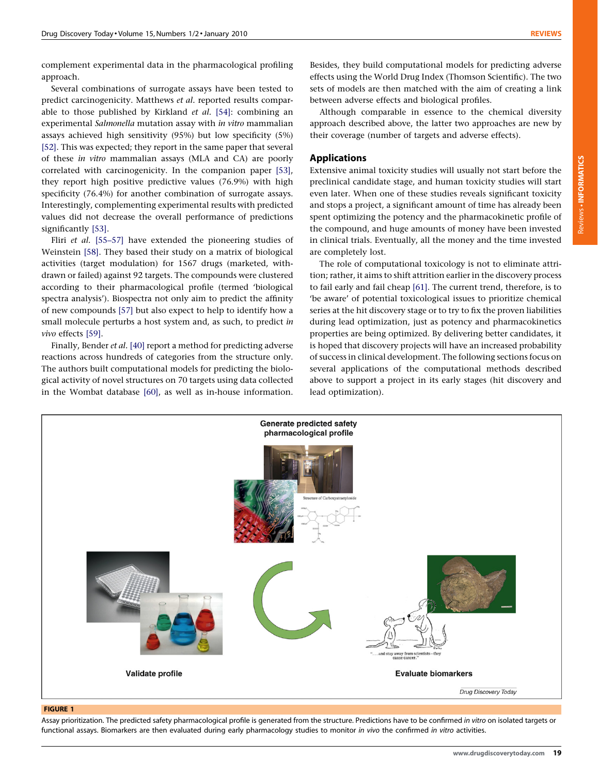<span id="page-3-0"></span>Several combinations of surrogate assays have been tested to predict carcinogenicity. Matthews et al. reported results comparable to those published by Kirkland et al. [\[54\]](#page-6-0): combining an experimental Salmonella mutation assay with in vitro mammalian assays achieved high sensitivity (95%) but low specificity (5%) [\[52\].](#page-6-0) This was expected; they report in the same paper that several of these in vitro mammalian assays (MLA and CA) are poorly correlated with carcinogenicity. In the companion paper [\[53\],](#page-6-0) they report high positive predictive values (76.9%) with high specificity (76.4%) for another combination of surrogate assays. Interestingly, complementing experimental results with predicted values did not decrease the overall performance of predictions significantly [\[53\]](#page-6-0).

Fliri et al. [\[55–57\]](#page-6-0) have extended the pioneering studies of Weinstein [\[58\]](#page-6-0). They based their study on a matrix of biological activities (target modulation) for 1567 drugs (marketed, withdrawn or failed) against 92 targets. The compounds were clustered according to their pharmacological profile (termed 'biological spectra analysis'). Biospectra not only aim to predict the affinity of new compounds [\[57\]](#page-6-0) but also expect to help to identify how a small molecule perturbs a host system and, as such, to predict in vivo effects [\[59\]](#page-6-0).

Finally, Bender et al. [\[40\]](#page-6-0) report a method for predicting adverse reactions across hundreds of categories from the structure only. The authors built computational models for predicting the biological activity of novel structures on 70 targets using data collected in the Wombat database [\[60\]](#page-6-0), as well as in-house information.

Besides, they build computational models for predicting adverse effects using the World Drug Index (Thomson Scientific). The two sets of models are then matched with the aim of creating a link between adverse effects and biological profiles.

Although comparable in essence to the chemical diversity approach described above, the latter two approaches are new by their coverage (number of targets and adverse effects).

## Applications

Extensive animal toxicity studies will usually not start before the preclinical candidate stage, and human toxicity studies will start even later. When one of these studies reveals significant toxicity and stops a project, a significant amount of time has already been spent optimizing the potency and the pharmacokinetic profile of the compound, and huge amounts of money have been invested in clinical trials. Eventually, all the money and the time invested are completely lost.

The role of computational toxicology is not to eliminate attrition; rather, it aims to shift attrition earlier in the discovery process to fail early and fail cheap [\[61\]](#page-6-0). The current trend, therefore, is to 'be aware' of potential toxicological issues to prioritize chemical series at the hit discovery stage or to try to fix the proven liabilities during lead optimization, just as potency and pharmacokinetics properties are being optimized. By delivering better candidates, it is hoped that discovery projects will have an increased probability of success in clinical development. The following sections focus on several applications of the computational methods described above to support a project in its early stages (hit discovery and lead optimization).



#### FIGURE 1

Assay prioritization. The predicted safety pharmacological profile is generated from the structure. Predictions have to be confirmed in vitro on isolated targets or functional assays. Biomarkers are then evaluated during early pharmacology studies to monitor in vivo the confirmed in vitro activities.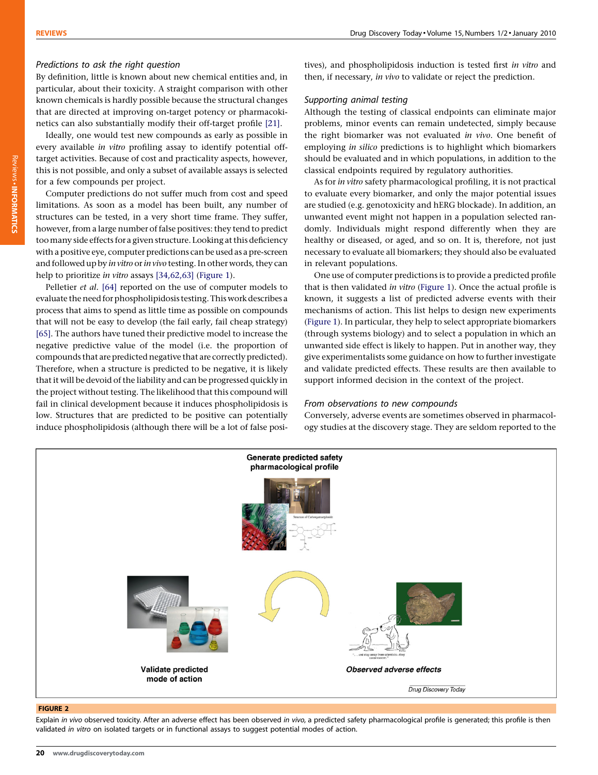## <span id="page-4-0"></span>Predictions to ask the right question

By definition, little is known about new chemical entities and, in particular, about their toxicity. A straight comparison with other known chemicals is hardly possible because the structural changes that are directed at improving on-target potency or pharmacokinetics can also substantially modify their off-target profile [\[21\].](#page-6-0)

Ideally, one would test new compounds as early as possible in every available in vitro profiling assay to identify potential offtarget activities. Because of cost and practicality aspects, however, this is not possible, and only a subset of available assays is selected for a few compounds per project.

Computer predictions do not suffer much from cost and speed limitations. As soon as a model has been built, any number of structures can be tested, in a very short time frame. They suffer, however, from a large number of false positives: they tend to predict too many side effects for a given structure. Looking at this deficiency with a positive eye, computer predictions can be used as a pre-screen and followed up by in vitro or in vivo testing. In other words, they can help to prioritize in vitro assays [\[34,62,63\]](#page-6-0) [\(Figure 1\)](#page-3-0).

Pelletier *et al.* [\[64\]](#page-6-0) reported on the use of computer models to evaluate the need for phospholipidosis testing.This work describes a process that aims to spend as little time as possible on compounds that will not be easy to develop (the fail early, fail cheap strategy) [\[65\].](#page-6-0) The authors have tuned their predictive model to increase the negative predictive value of the model (i.e. the proportion of compounds that are predicted negative that are correctly predicted). Therefore, when a structure is predicted to be negative, it is likely that it will be devoid of the liability and can be progressed quickly in the project without testing. The likelihood that this compound will fail in clinical development because it induces phospholipidosis is low. Structures that are predicted to be positive can potentially induce phospholipidosis (although there will be a lot of false positives), and phospholipidosis induction is tested first in vitro and then, if necessary, in vivo to validate or reject the prediction.

## Supporting animal testing

Although the testing of classical endpoints can eliminate major problems, minor events can remain undetected, simply because the right biomarker was not evaluated in vivo. One benefit of employing in silico predictions is to highlight which biomarkers should be evaluated and in which populations, in addition to the classical endpoints required by regulatory authorities.

As for in vitro safety pharmacological profiling, it is not practical to evaluate every biomarker, and only the major potential issues are studied (e.g. genotoxicity and hERG blockade). In addition, an unwanted event might not happen in a population selected randomly. Individuals might respond differently when they are healthy or diseased, or aged, and so on. It is, therefore, not just necessary to evaluate all biomarkers; they should also be evaluated in relevant populations.

One use of computer predictions is to provide a predicted profile that is then validated in vitro ([Figure 1\)](#page-3-0). Once the actual profile is known, it suggests a list of predicted adverse events with their mechanisms of action. This list helps to design new experiments ([Figure 1\)](#page-3-0). In particular, they help to select appropriate biomarkers (through systems biology) and to select a population in which an unwanted side effect is likely to happen. Put in another way, they give experimentalists some guidance on how to further investigate and validate predicted effects. These results are then available to support informed decision in the context of the project.

## From observations to new compounds

Conversely, adverse events are sometimes observed in pharmacology studies at the discovery stage. They are seldom reported to the



#### FIGURE 2

Explain in vivo observed toxicity. After an adverse effect has been observed in vivo, a predicted safety pharmacological profile is generated; this profile is then validated in vitro on isolated targets or in functional assays to suggest potential modes of action.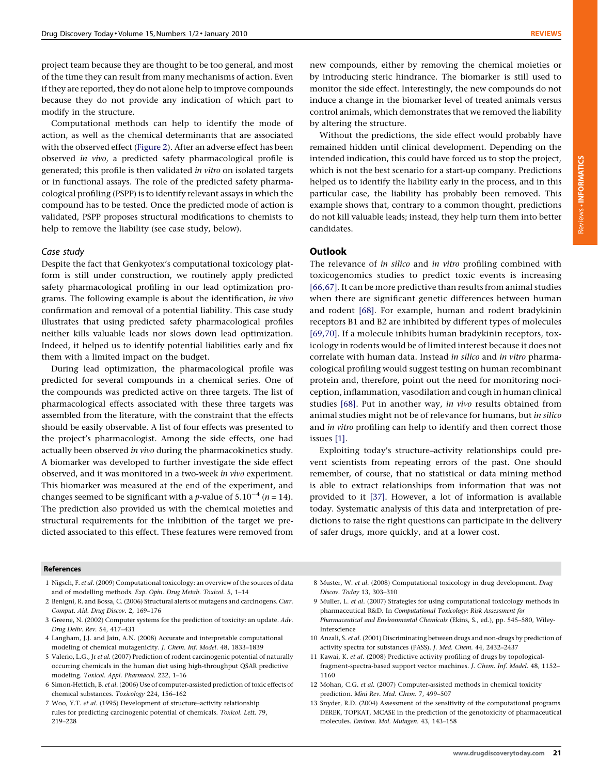<span id="page-5-0"></span>project team because they are thought to be too general, and most of the time they can result from many mechanisms of action. Even if they are reported, they do not alone help to improve compounds because they do not provide any indication of which part to modify in the structure.

Computational methods can help to identify the mode of action, as well as the chemical determinants that are associated with the observed effect [\(Figure 2](#page-4-0)). After an adverse effect has been observed in vivo, a predicted safety pharmacological profile is generated; this profile is then validated in vitro on isolated targets or in functional assays. The role of the predicted safety pharmacological profiling (PSPP) is to identify relevant assays in which the compound has to be tested. Once the predicted mode of action is validated, PSPP proposes structural modifications to chemists to help to remove the liability (see case study, below).

#### Case study

Despite the fact that Genkyotex's computational toxicology platform is still under construction, we routinely apply predicted safety pharmacological profiling in our lead optimization programs. The following example is about the identification, in vivo confirmation and removal of a potential liability. This case study illustrates that using predicted safety pharmacological profiles neither kills valuable leads nor slows down lead optimization. Indeed, it helped us to identify potential liabilities early and fix them with a limited impact on the budget.

During lead optimization, the pharmacological profile was predicted for several compounds in a chemical series. One of the compounds was predicted active on three targets. The list of pharmacological effects associated with these three targets was assembled from the literature, with the constraint that the effects should be easily observable. A list of four effects was presented to the project's pharmacologist. Among the side effects, one had actually been observed in vivo during the pharmacokinetics study. A biomarker was developed to further investigate the side effect observed, and it was monitored in a two-week in vivo experiment. This biomarker was measured at the end of the experiment, and changes seemed to be significant with a *p*-value of  $5.10^{-4}$  (*n* = 14). The prediction also provided us with the chemical moieties and structural requirements for the inhibition of the target we predicted associated to this effect. These features were removed from

new compounds, either by removing the chemical moieties or by introducing steric hindrance. The biomarker is still used to monitor the side effect. Interestingly, the new compounds do not induce a change in the biomarker level of treated animals versus control animals, which demonstrates that we removed the liability by altering the structure.

Without the predictions, the side effect would probably have remained hidden until clinical development. Depending on the intended indication, this could have forced us to stop the project, which is not the best scenario for a start-up company. Predictions helped us to identify the liability early in the process, and in this particular case, the liability has probably been removed. This example shows that, contrary to a common thought, predictions do not kill valuable leads; instead, they help turn them into better candidates.

## Outlook

The relevance of in silico and in vitro profiling combined with toxicogenomics studies to predict toxic events is increasing [\[66,67\].](#page-6-0) It can be more predictive than results from animal studies when there are significant genetic differences between human and rodent [\[68\]](#page-6-0). For example, human and rodent bradykinin receptors B1 and B2 are inhibited by different types of molecules [\[69,70\].](#page-6-0) If a molecule inhibits human bradykinin receptors, toxicology in rodents would be of limited interest because it does not correlate with human data. Instead in silico and in vitro pharmacological profiling would suggest testing on human recombinant protein and, therefore, point out the need for monitoring nociception, inflammation, vasodilation and cough in human clinical studies [\[68\].](#page-6-0) Put in another way, in vivo results obtained from animal studies might not be of relevance for humans, but in silico and in vitro profiling can help to identify and then correct those issues [1].

Exploiting today's structure–activity relationships could prevent scientists from repeating errors of the past. One should remember, of course, that no statistical or data mining method is able to extract relationships from information that was not provided to it [\[37\]](#page-6-0). However, a lot of information is available today. Systematic analysis of this data and interpretation of predictions to raise the right questions can participate in the delivery of safer drugs, more quickly, and at a lower cost.

#### References

- 1 Nigsch, F. et al. (2009) Computational toxicology: an overview of the sources of data and of modelling methods. Exp. Opin. Drug Metab. Toxicol. 5, 1–14
- 2 Benigni, R. and Bossa, C. (2006) Structural alerts of mutagens and carcinogens. Curr. Comput. Aid. Drug Discov. 2, 169–176
- 3 Greene, N. (2002) Computer systems for the prediction of toxicity: an update. Adv. Drug Deliv. Rev. 54, 417–431
- 4 Langham, J.J. and Jain, A.N. (2008) Accurate and interpretable computational modeling of chemical mutagenicity. J. Chem. Inf. Model. 48, 1833–1839
- 5 Valerio, L.G., Jr et al. (2007) Prediction of rodent carcinogenic potential of naturally occurring chemicals in the human diet using high-throughput QSAR predictive modeling. Toxicol. Appl. Pharmacol. 222, 1–16
- 6 Simon-Hettich, B. et al. (2006) Use of computer-assisted prediction of toxic effects of chemical substances. Toxicology 224, 156–162
- 7 Woo, Y.T. et al. (1995) Development of structure–activity relationship rules for predicting carcinogenic potential of chemicals. Toxicol. Lett. 79, 219–228
- 8 Muster, W. et al. (2008) Computational toxicology in drug development. Drug Discov. Today 13, 303–310
- 9 Muller, L. et al. (2007) Strategies for using computational toxicology methods in pharmaceutical R&D. In Computational Toxicology: Risk Assessment for Pharmaceutical and Environmental Chemicals (Ekins, S., ed.), pp. 545–580, Wiley-Interscience
- 10 Anzali, S. et al. (2001) Discriminating between drugs and non-drugs by prediction of activity spectra for substances (PASS). J. Med. Chem. 44, 2432–2437
- 11 Kawai, K. et al. (2008) Predictive activity profiling of drugs by topologicalfragment-spectra-based support vector machines. J. Chem. Inf. Model. 48, 1152– 1160
- 12 Mohan, C.G. et al. (2007) Computer-assisted methods in chemical toxicity prediction. Mini Rev. Med. Chem. 7, 499–507
- 13 Snyder, R.D. (2004) Assessment of the sensitivity of the computational programs DEREK, TOPKAT, MCASE in the prediction of the genotoxicity of pharmaceutical molecules. Environ. Mol. Mutagen. 43, 143–158